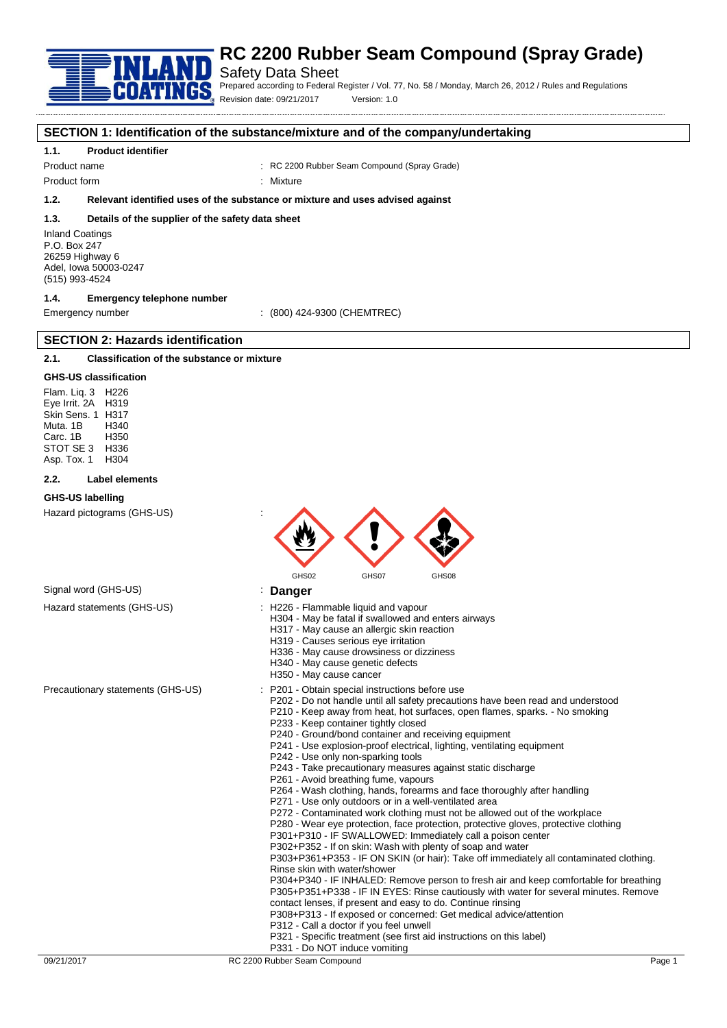

# Safety Data Sheet

Prepared according to Federal Register / Vol. 77, No. 58 / Monday, March 26, 2012 / Rules and Regulations Revision date: 09/21/2017 Version: 1.0

### **SECTION 1: Identification of the substance/mixture and of the company/undertaking**

### **1.1. Product identifier**

Product name : RC 2200 Rubber Seam Compound (Spray Grade)

Product form : Nixture

# **1.2. Relevant identified uses of the substance or mixture and uses advised against**

#### **1.3. Details of the supplier of the safety data sheet**

Inland Coatings P.O. Box 247 26259 Highway 6 Adel, Iowa 50003-0247 (515) 993-4524

# **1.4. Emergency telephone number**

**SECTION 2: Hazards identification**

Emergency number : (800) 424-9300 (CHEMTREC)

# **2.1. Classification of the substance or mixture**

#### **GHS-US classification**

Flam. Liq. 3 H226 Eye Irrit. 2A H319 Skin Sens. 1 H317 Muta. 1B H340 Carc. 1B H350 STOT SE 3 H336<br>Asp. Tox. 1 H304 Asp. Tox. 1

#### **2.2. Label elements**

#### **GHS-US labelling**

Hazard pictograms (GHS-US) :



# Signal word (GHS-US) **in the US** is **Danger**

- Hazard statements (GHS-US) : H226 Flammable liquid and vapour
	- H304 May be fatal if swallowed and enters airways
		- H317 May cause an allergic skin reaction
		- H319 Causes serious eye irritation
		- H336 May cause drowsiness or dizziness
		- H340 May cause genetic defects
		- H350 May cause cancer
- Precautionary statements (GHS-US) : P201 Obtain special instructions before use
	- P202 Do not handle until all safety precautions have been read and understood
	- P210 Keep away from heat, hot surfaces, open flames, sparks. No smoking P233 - Keep container tightly closed
	- P240 Ground/bond container and receiving equipment
	- P241 Use explosion-proof electrical, lighting, ventilating equipment
	- P242 Use only non-sparking tools
	- P243 Take precautionary measures against static discharge
	- P261 Avoid breathing fume, vapours
	- P264 Wash clothing, hands, forearms and face thoroughly after handling
	- P271 Use only outdoors or in a well-ventilated area
	- P272 Contaminated work clothing must not be allowed out of the workplace
	- P280 Wear eye protection, face protection, protective gloves, protective clothing
	- P301+P310 IF SWALLOWED: Immediately call a poison center
	- P302+P352 If on skin: Wash with plenty of soap and water

P303+P361+P353 - IF ON SKIN (or hair): Take off immediately all contaminated clothing. Rinse skin with water/shower

P304+P340 - IF INHALED: Remove person to fresh air and keep comfortable for breathing P305+P351+P338 - IF IN EYES: Rinse cautiously with water for several minutes. Remove contact lenses, if present and easy to do. Continue rinsing

- P308+P313 If exposed or concerned: Get medical advice/attention
- P312 Call a doctor if you feel unwell
- P321 Specific treatment (see first aid instructions on this label)
- P331 Do NOT induce vomiting

09/21/2017 RC 2200 Rubber Seam Compound Records and December 2000 Rubber Seam Compound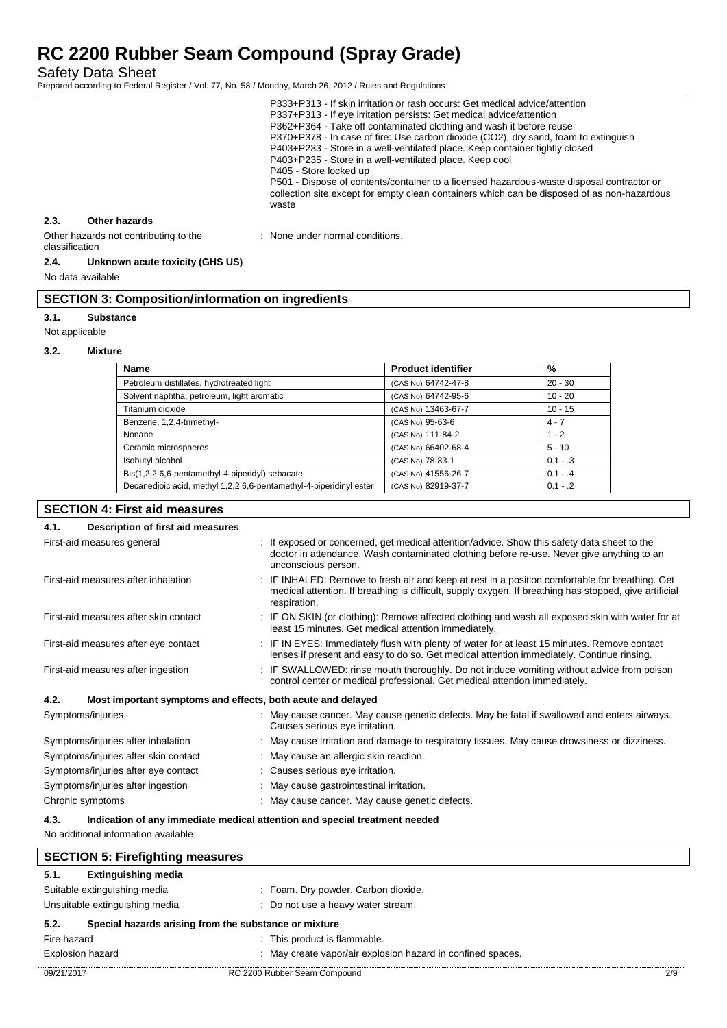Safety Data Sheet

Prepared according to Federal Register / Vol. 77, No. 58 / Monday, March 26, 2012 / Rules and Regulations

|      |                                       | P333+P313 - If skin irritation or rash occurs: Get medical advice/attention<br>P337+P313 - If eye irritation persists: Get medical advice/attention<br>P362+P364 - Take off contaminated clothing and wash it before reuse<br>P370+P378 - In case of fire: Use carbon dioxide (CO2), dry sand, foam to extinguish<br>P403+P233 - Store in a well-ventilated place. Keep container tightly closed<br>P403+P235 - Store in a well-ventilated place. Keep cool<br>P405 - Store locked up<br>P501 - Dispose of contents/container to a licensed hazardous-waste disposal contractor or<br>collection site except for empty clean containers which can be disposed of as non-hazardous<br>waste |
|------|---------------------------------------|--------------------------------------------------------------------------------------------------------------------------------------------------------------------------------------------------------------------------------------------------------------------------------------------------------------------------------------------------------------------------------------------------------------------------------------------------------------------------------------------------------------------------------------------------------------------------------------------------------------------------------------------------------------------------------------------|
| 2.3. | Other hazards                         |                                                                                                                                                                                                                                                                                                                                                                                                                                                                                                                                                                                                                                                                                            |
|      | Other hazards not contributing to the | None under normal conditions.                                                                                                                                                                                                                                                                                                                                                                                                                                                                                                                                                                                                                                                              |

#### classification

#### **2.4. Unknown acute toxicity (GHS US)**

No data available

|  |  |  | <b>SECTION 3: Composition/information on ingredients</b> |
|--|--|--|----------------------------------------------------------|
|--|--|--|----------------------------------------------------------|

#### **3.1. Substance**

Not applicable

#### **3.2. Mixture**

| <b>Name</b>                                                        | <b>Product identifier</b> | %          |
|--------------------------------------------------------------------|---------------------------|------------|
| Petroleum distillates, hydrotreated light                          | (CAS No) 64742-47-8       | $20 - 30$  |
| Solvent naphtha, petroleum, light aromatic                         | (CAS No) 64742-95-6       | $10 - 20$  |
| Titanium dioxide                                                   | (CAS No) 13463-67-7       | $10 - 15$  |
| Benzene, 1,2,4-trimethyl-                                          | (CAS No) 95-63-6          | $4 - 7$    |
| Nonane                                                             | (CAS No) 111-84-2         | $1 - 2$    |
| Ceramic microspheres                                               | (CAS No) 66402-68-4       | $5 - 10$   |
| Isobutyl alcohol                                                   | (CAS No) 78-83-1          | $0.1 - .3$ |
| Bis(1,2,2,6,6-pentamethyl-4-piperidyl) sebacate                    | (CAS No) 41556-26-7       | $0.1 - .4$ |
| Decanedioic acid, methyl 1,2,2,6,6-pentamethyl-4-piperidinyl ester | (CAS No) 82919-37-7       | $0.1 - .2$ |

# **SECTION 4: First aid measures 4.1. Description of first aid measures** First-aid measures general interest of the state of the sposed or concerned, get medical attention/advice. Show this safety data sheet to the doctor in attendance. Wash contaminated clothing before re-use. Never give anything to an unconscious person. First-aid measures after inhalation : IF INHALED: Remove to fresh air and keep at rest in a position comfortable for breathing. Get medical attention. If breathing is difficult, supply oxygen. If breathing has stopped, give artificial respiration. First-aid measures after skin contact : IF ON SKIN (or clothing): Remove affected clothing and wash all exposed skin with water for at least 15 minutes. Get medical attention immediately. First-aid measures after eye contact : IF IN EYES: Immediately flush with plenty of water for at least 15 minutes. Remove contact lenses if present and easy to do so. Get medical attention immediately. Continue rinsing. First-aid measures after ingestion : IF SWALLOWED: rinse mouth thoroughly. Do not induce vomiting without advice from poison control center or medical professional. Get medical attention immediately. **4.2. Most important symptoms and effects, both acute and delayed** Symptoms/injuries **Symptoms**/injuries **ancerered and enters airways.** Symptoms/injuries airways. Causes serious eye irritation. Symptoms/injuries after inhalation : May cause irritation and damage to respiratory tissues. May cause drowsiness or dizziness. Symptoms/injuries after skin contact : May cause an allergic skin reaction. Symptoms/injuries after eye contact : Causes serious eye irritation. Symptoms/injuries after ingestion : May cause gastrointestinal irritation. Chronic symptoms : May cause cancer. May cause genetic defects. **4.3. Indication of any immediate medical attention and special treatment needed** No additional information available **SECTION 5: Firefighting measures**

| 5.1.<br><b>Extinguishing media</b>                            |                                                             |     |
|---------------------------------------------------------------|-------------------------------------------------------------|-----|
| Suitable extinguishing media                                  | : Foam. Dry powder. Carbon dioxide.                         |     |
| Unsuitable extinguishing media                                | : Do not use a heavy water stream.                          |     |
| 5.2.<br>Special hazards arising from the substance or mixture |                                                             |     |
| Fire hazard                                                   | : This product is flammable.                                |     |
| <b>Explosion hazard</b>                                       | : May create vapor/air explosion hazard in confined spaces. |     |
| 09/21/2017                                                    | RC 2200 Rubber Seam Compound                                | 2/9 |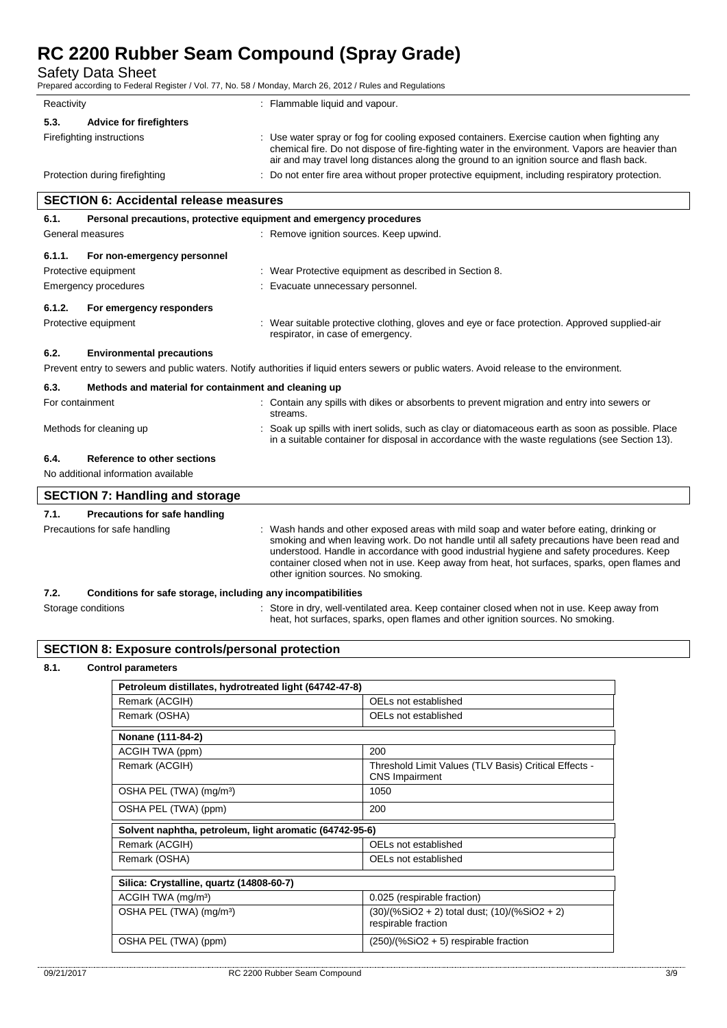Safety Data Sheet

Prepared according to Federal Register / Vol. 77, No. 58 / Monday, March 26, 2012 / Rules and Regulations

| Reactivity                                    | : Flammable liquid and vapour.                                                                                                                                                                                                                                                              |
|-----------------------------------------------|---------------------------------------------------------------------------------------------------------------------------------------------------------------------------------------------------------------------------------------------------------------------------------------------|
| <b>Advice for firefighters</b><br>5.3.        |                                                                                                                                                                                                                                                                                             |
| Firefighting instructions                     | : Use water spray or fog for cooling exposed containers. Exercise caution when fighting any<br>chemical fire. Do not dispose of fire-fighting water in the environment. Vapors are heavier than<br>air and may travel long distances along the ground to an ignition source and flash back. |
| Protection during firefighting                | : Do not enter fire area without proper protective equipment, including respiratory protection.                                                                                                                                                                                             |
| <b>SECTION 6: Accidental release measures</b> |                                                                                                                                                                                                                                                                                             |
| 6.1.                                          | Personal precautions, protective equipment and emergency procedures                                                                                                                                                                                                                         |
| General measures                              | : Remove ignition sources. Keep upwind.                                                                                                                                                                                                                                                     |
| For non-emergency personnel<br>6.1.1.         |                                                                                                                                                                                                                                                                                             |
| Protective equipment                          | : Wear Protective equipment as described in Section 8.                                                                                                                                                                                                                                      |
| Emergency procedures                          | : Evacuate unnecessary personnel.                                                                                                                                                                                                                                                           |

# **6.1.2. For emergency responders**

Protective equipment **interval of the suitable protective clothing**, gloves and eye or face protection. Approved supplied-air respirator, in case of emergency.

heat, hot surfaces, sparks, open flames and other ignition sources. No smoking.

# **6.2. Environmental precautions**

Prevent entry to sewers and public waters. Notify authorities if liquid enters sewers or public waters. Avoid release to the environment.

| 6.3.                                   | Methods and material for containment and cleaning up                                                                                                                                                 |  |  |
|----------------------------------------|------------------------------------------------------------------------------------------------------------------------------------------------------------------------------------------------------|--|--|
| For containment                        | : Contain any spills with dikes or absorbents to prevent migration and entry into sewers or<br>streams.                                                                                              |  |  |
| Methods for cleaning up                | : Soak up spills with inert solids, such as clay or diatomaceous earth as soon as possible. Place<br>in a suitable container for disposal in accordance with the waste regulations (see Section 13). |  |  |
| 6.4.<br>Reference to other sections    |                                                                                                                                                                                                      |  |  |
| No additional information available    |                                                                                                                                                                                                      |  |  |
| <b>SECTION 7: Handling and storage</b> |                                                                                                                                                                                                      |  |  |
|                                        |                                                                                                                                                                                                      |  |  |

# **7.1. Precautions for safe handling** Precautions for safe handling : Wash hands and other exposed areas with mild soap and water before eating, drinking or smoking and when leaving work. Do not handle until all safety precautions have been read and understood. Handle in accordance with good industrial hygiene and safety procedures. Keep container closed when not in use. Keep away from heat, hot surfaces, sparks, open flames and other ignition sources. No smoking. **7.2. Conditions for safe storage, including any incompatibilities** Storage conditions **Store in dry**, well-ventilated area. Keep container closed when not in use. Keep away from

# **SECTION 8: Exposure controls/personal protection**

## **8.1. Control parameters**

| Petroleum distillates, hydrotreated light (64742-47-8)  |                                                                                |
|---------------------------------------------------------|--------------------------------------------------------------------------------|
| Remark (ACGIH)                                          | OELs not established                                                           |
| Remark (OSHA)                                           | OELs not established                                                           |
| Nonane (111-84-2)                                       |                                                                                |
| ACGIH TWA (ppm)                                         | 200                                                                            |
| Remark (ACGIH)                                          | Threshold Limit Values (TLV Basis) Critical Effects -<br><b>CNS</b> Impairment |
| OSHA PEL (TWA) (mg/m <sup>3</sup> )                     | 1050                                                                           |
| OSHA PEL (TWA) (ppm)                                    | 200                                                                            |
| Solvent naphtha, petroleum, light aromatic (64742-95-6) |                                                                                |
| Remark (ACGIH)                                          | OELs not established                                                           |
| Remark (OSHA)                                           | OELs not established                                                           |
| Silica: Crystalline, quartz (14808-60-7)                |                                                                                |
|                                                         |                                                                                |
| ACGIH TWA (mg/m <sup>3</sup> )                          | 0.025 (respirable fraction)                                                    |
| OSHA PEL (TWA) (mg/m <sup>3</sup> )                     | (30)/(%SiO2 + 2) total dust; (10)/(%SiO2 + 2)<br>respirable fraction           |
| OSHA PEL (TWA) (ppm)                                    | $(250)/(%SiO2 + 5)$ respirable fraction                                        |
|                                                         |                                                                                |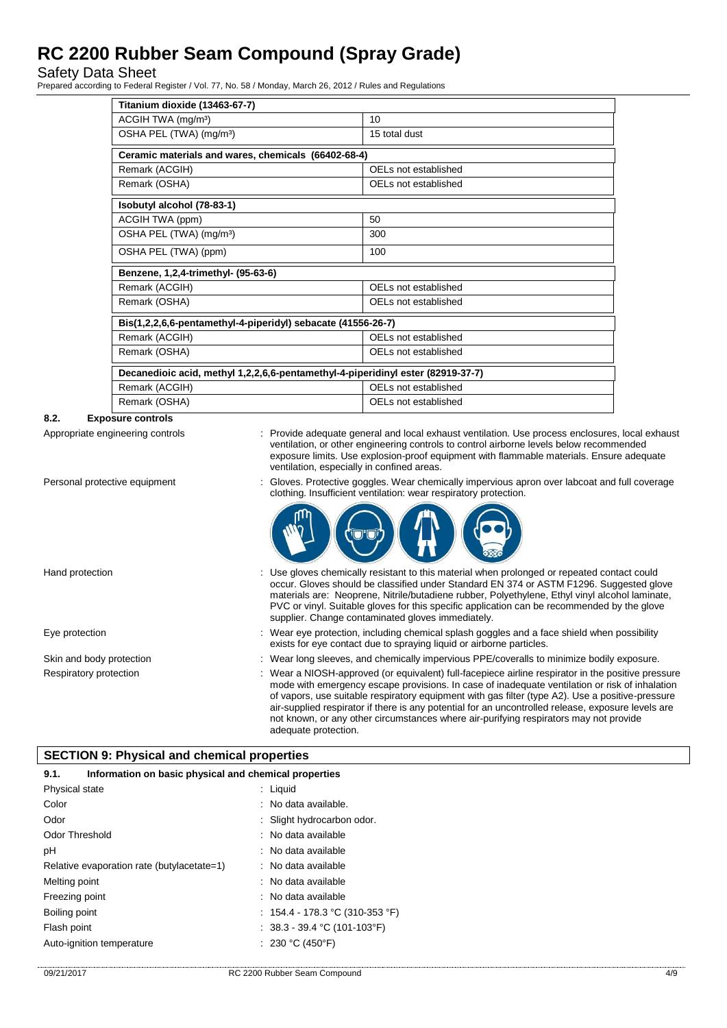Safety Data Sheet

Prepared according to Federal Register / Vol. 77, No. 58 / Monday, March 26, 2012 / Rules and Regulations

| Titanium dioxide (13463-67-7)                                                   |                      |
|---------------------------------------------------------------------------------|----------------------|
| ACGIH TWA (mg/m <sup>3</sup> )                                                  | 10                   |
| OSHA PEL (TWA) (mg/m <sup>3</sup> )                                             | 15 total dust        |
| Ceramic materials and wares, chemicals (66402-68-4)                             |                      |
| Remark (ACGIH)                                                                  | OELs not established |
| Remark (OSHA)                                                                   | OELs not established |
| Isobutyl alcohol (78-83-1)                                                      |                      |
| ACGIH TWA (ppm)                                                                 | 50                   |
| OSHA PEL (TWA) (mg/m <sup>3</sup> )                                             | 300                  |
| OSHA PEL (TWA) (ppm)                                                            | 100                  |
| Benzene, 1,2,4-trimethyl- (95-63-6)                                             |                      |
| Remark (ACGIH)                                                                  | OELs not established |
| Remark (OSHA)                                                                   | OELs not established |
| Bis(1,2,2,6,6-pentamethyl-4-piperidyl) sebacate (41556-26-7)                    |                      |
| Remark (ACGIH)                                                                  | OELs not established |
| Remark (OSHA)                                                                   | OELs not established |
| Decanedioic acid, methyl 1,2,2,6,6-pentamethyl-4-piperidinyl ester (82919-37-7) |                      |
| Remark (ACGIH)                                                                  | OELs not established |
| Remark (OSHA)                                                                   | OELs not established |

# **8.2. Exposure controls**

Appropriate engineering controls : Provide adequate general and local exhaust ventilation. Use process enclosures, local exhaust ventilation, or other engineering controls to control airborne levels below recommended exposure limits. Use explosion-proof equipment with flammable materials. Ensure adequate ventilation, especially in confined areas.

clothing. Insufficient ventilation: wear respiratory protection.

Personal protective equipment : Gloves. Protective goggles. Wear chemically impervious apron over labcoat and full coverage

Hand protection state of the state of the entire of the sistem of this material when prolonged or repeated contact could occur. Gloves should be classified under Standard EN 374 or ASTM F1296. Suggested glove materials are: Neoprene, Nitrile/butadiene rubber, Polyethylene, Ethyl vinyl alcohol laminate, PVC or vinyl. Suitable gloves for this specific application can be recommended by the glove supplier. Change contaminated gloves immediately.

Eye protection **including the matter of the system** of the Wear eye protection, including chemical splash goggles and a face shield when possibility exists for eye contact due to spraying liquid or airborne particles.

Skin and body protection : Wear long sleeves, and chemically impervious PPE/coveralls to minimize bodily exposure.

Respiratory protection : Wear a NIOSH-approved (or equivalent) full-facepiece airline respirator in the positive pressure mode with emergency escape provisions. In case of inadequate ventilation or risk of inhalation of vapors, use suitable respiratory equipment with gas filter (type A2). Use a positive-pressure air-supplied respirator if there is any potential for an uncontrolled release, exposure levels are not known, or any other circumstances where air-purifying respirators may not provide adequate protection.

# **SECTION 9: Physical and chemical properties**

| 9.1.                                       | Information on basic physical and chemical properties |  |
|--------------------------------------------|-------------------------------------------------------|--|
| Physical state                             | : Liquid                                              |  |
| Color                                      | : No data available.                                  |  |
| Odor                                       | : Slight hydrocarbon odor.                            |  |
| <b>Odor Threshold</b>                      | : No data available                                   |  |
| рH                                         | : No data available                                   |  |
| Relative evaporation rate (butylacetate=1) | : No data available                                   |  |
| Melting point                              | : No data available                                   |  |
| Freezing point                             | : No data available                                   |  |
| Boiling point                              | : $154.4 - 178.3$ °C (310-353 °F)                     |  |
| Flash point                                | : $38.3 - 39.4$ °C (101-103°F)                        |  |
| Auto-ignition temperature                  | : 230 °C (450°F)                                      |  |
|                                            |                                                       |  |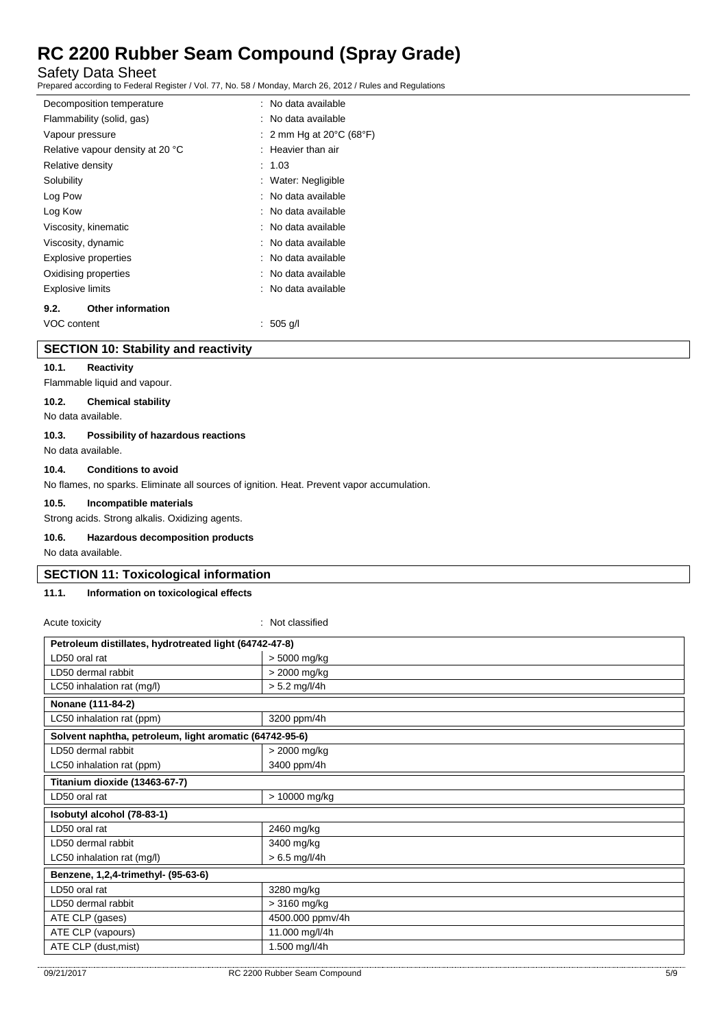Safety Data Sheet

Prepared according to Federal Register / Vol. 77, No. 58 / Monday, March 26, 2012 / Rules and Regulations

| Decomposition temperature        | : No data available                          |
|----------------------------------|----------------------------------------------|
| Flammability (solid, gas)        | : No data available                          |
| Vapour pressure                  | : 2 mm Hg at 20 $\degree$ C (68 $\degree$ F) |
| Relative vapour density at 20 °C | $:$ Heavier than air                         |
| Relative density                 | : 1.03                                       |
| Solubility                       | : Water: Negligible                          |
| Log Pow                          | : No data available                          |
| Log Kow                          | : No data available                          |
| Viscosity, kinematic             | : No data available                          |
| Viscosity, dynamic               | : No data available                          |
| <b>Explosive properties</b>      | : No data available                          |
| Oxidising properties             | : No data available                          |
| <b>Explosive limits</b>          | : No data available                          |
| <b>Other information</b><br>9.2. |                                              |
| VOC content                      | ∶ 505 q/l                                    |

### **SECTION 10: Stability and reactivity**

### **10.1. Reactivity**

Flammable liquid and vapour.

# **10.2. Chemical stability**

No data available.

#### **10.3. Possibility of hazardous reactions**

No data available.

# **10.4. Conditions to avoid**

No flames, no sparks. Eliminate all sources of ignition. Heat. Prevent vapor accumulation.

#### **10.5. Incompatible materials**

Strong acids. Strong alkalis. Oxidizing agents.

#### **10.6. Hazardous decomposition products**

No data available.

### **SECTION 11: Toxicological information**

# **11.1. Information on toxicological effects**

| Acute toxicity                                          | : Not classified |
|---------------------------------------------------------|------------------|
| Petroleum distillates, hydrotreated light (64742-47-8)  |                  |
| LD50 oral rat                                           | > 5000 mg/kg     |
| LD50 dermal rabbit                                      | > 2000 mg/kg     |
| LC50 inhalation rat (mg/l)                              | $> 5.2$ mg/l/4h  |
| Nonane (111-84-2)                                       |                  |
| LC50 inhalation rat (ppm)                               | 3200 ppm/4h      |
| Solvent naphtha, petroleum, light aromatic (64742-95-6) |                  |
| LD50 dermal rabbit                                      | > 2000 mg/kg     |
| LC50 inhalation rat (ppm)                               | 3400 ppm/4h      |
| Titanium dioxide (13463-67-7)                           |                  |
| LD50 oral rat                                           | > 10000 mg/kg    |
| Isobutyl alcohol (78-83-1)                              |                  |
| LD50 oral rat                                           | 2460 mg/kg       |
| LD50 dermal rabbit                                      | 3400 mg/kg       |
| LC50 inhalation rat (mg/l)                              | $> 6.5$ mg/l/4h  |
| Benzene, 1,2,4-trimethyl- (95-63-6)                     |                  |
| LD50 oral rat                                           | 3280 mg/kg       |
| LD50 dermal rabbit                                      | > 3160 mg/kg     |
| ATE CLP (gases)                                         | 4500.000 ppmv/4h |
| ATE CLP (vapours)                                       | 11.000 mg/l/4h   |
| ATE CLP (dust, mist)                                    | 1.500 mg/l/4h    |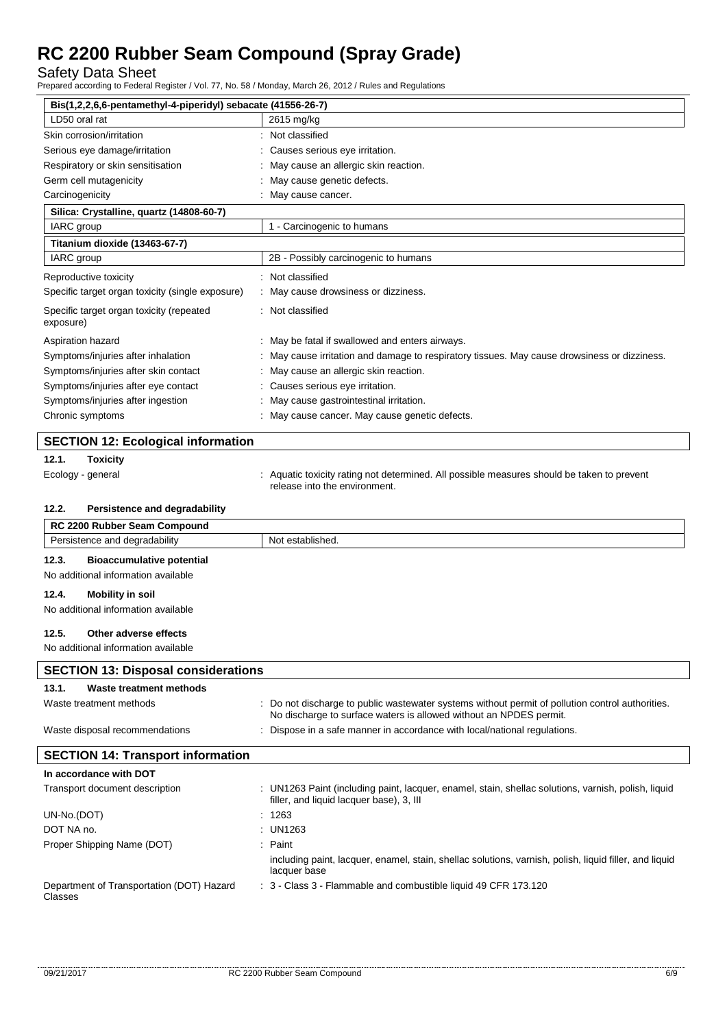Safety Data Sheet

Prepared according to Federal Register / Vol. 77, No. 58 / Monday, March 26, 2012 / Rules and Regulations

| Bis(1,2,2,6,6-pentamethyl-4-piperidyl) sebacate (41556-26-7) |                                                                                                                                                                        |  |
|--------------------------------------------------------------|------------------------------------------------------------------------------------------------------------------------------------------------------------------------|--|
| LD50 oral rat                                                | 2615 mg/kg                                                                                                                                                             |  |
| Skin corrosion/irritation                                    | Not classified                                                                                                                                                         |  |
| Serious eye damage/irritation                                | Causes serious eye irritation.                                                                                                                                         |  |
| Respiratory or skin sensitisation                            | May cause an allergic skin reaction.                                                                                                                                   |  |
| Germ cell mutagenicity                                       | May cause genetic defects.                                                                                                                                             |  |
| Carcinogenicity                                              | May cause cancer.                                                                                                                                                      |  |
| Silica: Crystalline, quartz (14808-60-7)                     |                                                                                                                                                                        |  |
| IARC group                                                   | 1 - Carcinogenic to humans                                                                                                                                             |  |
| Titanium dioxide (13463-67-7)                                |                                                                                                                                                                        |  |
| IARC group                                                   | 2B - Possibly carcinogenic to humans                                                                                                                                   |  |
| Reproductive toxicity                                        | Not classified                                                                                                                                                         |  |
| Specific target organ toxicity (single exposure)             | May cause drowsiness or dizziness.                                                                                                                                     |  |
| Specific target organ toxicity (repeated<br>exposure)        | : Not classified                                                                                                                                                       |  |
| Aspiration hazard                                            | : May be fatal if swallowed and enters airways.                                                                                                                        |  |
| Symptoms/injuries after inhalation                           | May cause irritation and damage to respiratory tissues. May cause drowsiness or dizziness.                                                                             |  |
| Symptoms/injuries after skin contact                         | May cause an allergic skin reaction.                                                                                                                                   |  |
| Symptoms/injuries after eye contact                          | Causes serious eye irritation.                                                                                                                                         |  |
| Symptoms/injuries after ingestion                            | May cause gastrointestinal irritation.                                                                                                                                 |  |
| Chronic symptoms                                             | May cause cancer. May cause genetic defects.                                                                                                                           |  |
|                                                              |                                                                                                                                                                        |  |
| <b>SECTION 12: Ecological information</b>                    |                                                                                                                                                                        |  |
| 12.1.<br><b>Toxicity</b>                                     |                                                                                                                                                                        |  |
| Ecology - general                                            | Aquatic toxicity rating not determined. All possible measures should be taken to prevent<br>release into the environment.                                              |  |
| 12.2.<br>Persistence and degradability                       |                                                                                                                                                                        |  |
| RC 2200 Rubber Seam Compound                                 |                                                                                                                                                                        |  |
| Persistence and degradability                                | Not established.                                                                                                                                                       |  |
| 12.3.<br><b>Bioaccumulative potential</b>                    |                                                                                                                                                                        |  |
| No additional information available                          |                                                                                                                                                                        |  |
| 12.4.<br><b>Mobility in soil</b>                             |                                                                                                                                                                        |  |
| No additional information available                          |                                                                                                                                                                        |  |
|                                                              |                                                                                                                                                                        |  |
| 12.5.<br>Other adverse effects                               |                                                                                                                                                                        |  |
| No additional information available                          |                                                                                                                                                                        |  |
| <b>SECTION 13: Disposal considerations</b>                   |                                                                                                                                                                        |  |
| 13.1.<br>Waste treatment methods                             |                                                                                                                                                                        |  |
| Waste treatment methods                                      | : Do not discharge to public wastewater systems without permit of pollution control authorities.<br>No discharge to surface waters is allowed without an NPDES permit. |  |
| Waste disposal recommendations                               | Dispose in a safe manner in accordance with local/national regulations.                                                                                                |  |
| <b>SECTION 14: Transport information</b>                     |                                                                                                                                                                        |  |
| In accordance with DOT                                       |                                                                                                                                                                        |  |
|                                                              |                                                                                                                                                                        |  |
| Transport document description                               | : UN1263 Paint (including paint, lacquer, enamel, stain, shellac solutions, varnish, polish, liquid<br>filler, and liquid lacquer base), 3, III                        |  |
| UN-No.(DOT)                                                  | 1263                                                                                                                                                                   |  |
| DOT NA no.                                                   | <b>UN1263</b>                                                                                                                                                          |  |
| Proper Shipping Name (DOT)                                   | Paint                                                                                                                                                                  |  |
|                                                              | including paint, lacquer, enamel, stain, shellac solutions, varnish, polish, liquid filler, and liquid<br>lacquer base                                                 |  |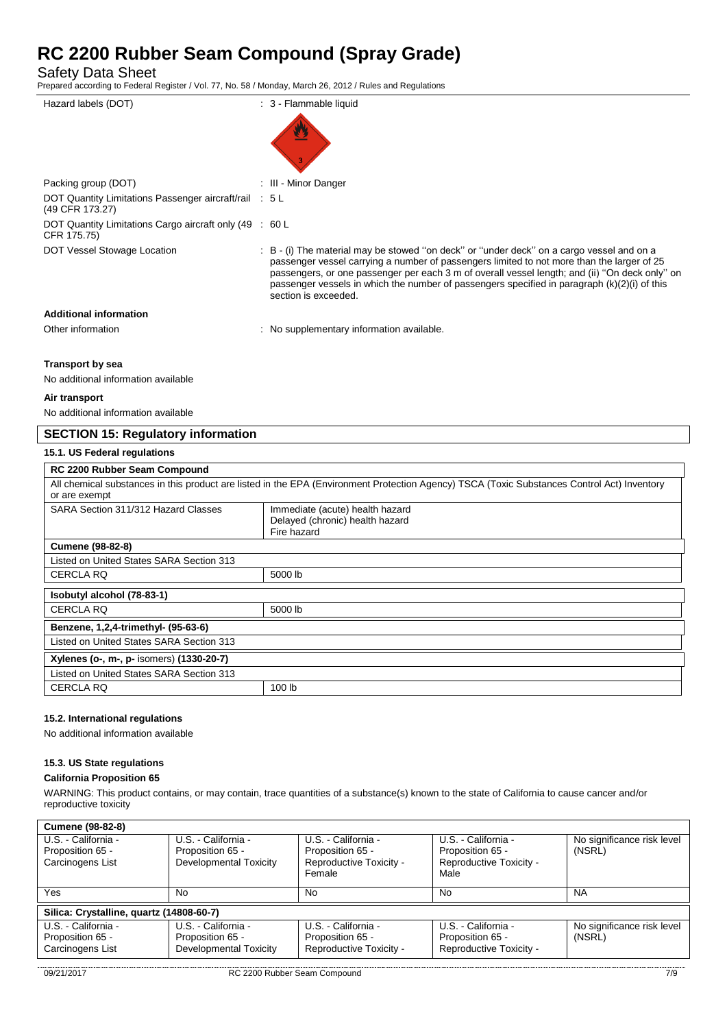Safety Data Sheet

Prepared according to Federal Register / Vol. 77, No. 58 / Monday, March 26, 2012 / Rules and Regulations

| Hazard labels (DOT)                                                       | : 3 - Flammable liquid                                                                                                                                                                                                                                                                                                                                                                                              |
|---------------------------------------------------------------------------|---------------------------------------------------------------------------------------------------------------------------------------------------------------------------------------------------------------------------------------------------------------------------------------------------------------------------------------------------------------------------------------------------------------------|
|                                                                           |                                                                                                                                                                                                                                                                                                                                                                                                                     |
| Packing group (DOT)                                                       | : III - Minor Danger                                                                                                                                                                                                                                                                                                                                                                                                |
| DOT Quantity Limitations Passenger aircraft/rail : 5 L<br>(49 CFR 173.27) |                                                                                                                                                                                                                                                                                                                                                                                                                     |
| DOT Quantity Limitations Cargo aircraft only (49 : 60 L<br>CFR 175.75)    |                                                                                                                                                                                                                                                                                                                                                                                                                     |
| DOT Vessel Stowage Location                                               | : B - (i) The material may be stowed "on deck" or "under deck" on a cargo vessel and on a<br>passenger vessel carrying a number of passengers limited to not more than the larger of 25<br>passengers, or one passenger per each 3 m of overall vessel length; and (ii) "On deck only" on<br>passenger vessels in which the number of passengers specified in paragraph $(k)(2)(i)$ of this<br>section is exceeded. |
| <b>Additional information</b>                                             |                                                                                                                                                                                                                                                                                                                                                                                                                     |
| Other information                                                         | : No supplementary information available.                                                                                                                                                                                                                                                                                                                                                                           |
|                                                                           |                                                                                                                                                                                                                                                                                                                                                                                                                     |

### **Transport by sea**

No additional information available

### **Air transport**

No additional information available

# **SECTION 15: Regulatory information**

### **15.1. US Federal regulations**

| <b>RC 2200 Rubber Seam Compound</b>                                                                                                                          |                                                                                   |  |
|--------------------------------------------------------------------------------------------------------------------------------------------------------------|-----------------------------------------------------------------------------------|--|
| All chemical substances in this product are listed in the EPA (Environment Protection Agency) TSCA (Toxic Substances Control Act) Inventory<br>or are exempt |                                                                                   |  |
| SARA Section 311/312 Hazard Classes                                                                                                                          | Immediate (acute) health hazard<br>Delayed (chronic) health hazard<br>Fire hazard |  |
| <b>Cumene (98-82-8)</b>                                                                                                                                      |                                                                                   |  |
| Listed on United States SARA Section 313                                                                                                                     |                                                                                   |  |
| <b>CERCLA RQ</b>                                                                                                                                             | 5000 lb                                                                           |  |
| Isobutyl alcohol (78-83-1)                                                                                                                                   |                                                                                   |  |
| <b>CERCLA RQ</b>                                                                                                                                             | 5000 lb                                                                           |  |
| Benzene, 1,2,4-trimethyl- (95-63-6)                                                                                                                          |                                                                                   |  |
| Listed on United States SARA Section 313                                                                                                                     |                                                                                   |  |
| Xylenes (o-, m-, p- isomers) (1330-20-7)                                                                                                                     |                                                                                   |  |
| Listed on United States SARA Section 313                                                                                                                     |                                                                                   |  |
| <b>CERCLA RQ</b>                                                                                                                                             | 100 lb                                                                            |  |

# **15.2. International regulations**

No additional information available

#### **15.3. US State regulations**

# **California Proposition 65**

WARNING: This product contains, or may contain, trace quantities of a substance(s) known to the state of California to cause cancer and/or reproductive toxicity

| <b>Cumene (98-82-8)</b>                                     |                                                                   |                                                                    |                                                                    |                                      |  |
|-------------------------------------------------------------|-------------------------------------------------------------------|--------------------------------------------------------------------|--------------------------------------------------------------------|--------------------------------------|--|
| U.S. - California -<br>Proposition 65 -                     | U.S. - California -<br>Proposition 65 -                           | U.S. - California -<br>Proposition 65 -                            | U.S. - California -<br>Proposition 65 -                            | No significance risk level<br>(NSRL) |  |
| Carcinogens List                                            | Developmental Toxicity                                            | Reproductive Toxicity -<br>Female                                  | Reproductive Toxicity -<br>Male                                    |                                      |  |
| Yes                                                         | No                                                                | No.                                                                | No.                                                                | <b>NA</b>                            |  |
| Silica: Crystalline, quartz (14808-60-7)                    |                                                                   |                                                                    |                                                                    |                                      |  |
| U.S. - California -<br>Proposition 65 -<br>Carcinogens List | U.S. - California -<br>Proposition 65 -<br>Developmental Toxicity | U.S. - California -<br>Proposition 65 -<br>Reproductive Toxicity - | U.S. - California -<br>Proposition 65 -<br>Reproductive Toxicity - | No significance risk level<br>(NSRL) |  |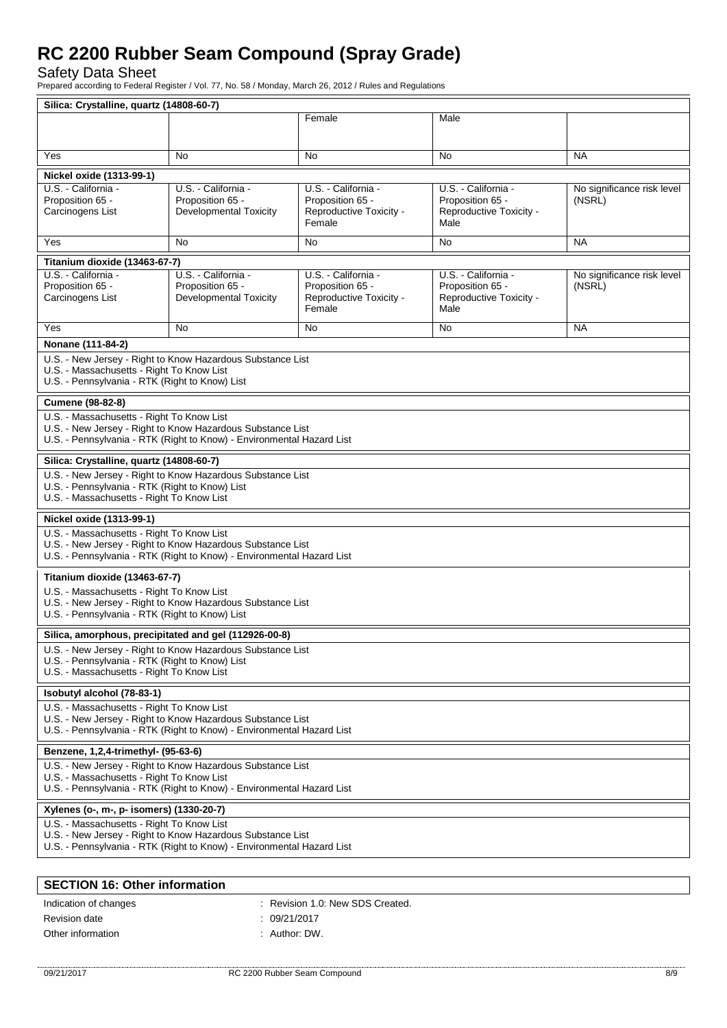Safety Data Sheet

Prepared according to Federal Register / Vol. 77, No. 58 / Monday, March 26, 2012 / Rules and Regulations

|                                                                                                                                     | Silica: Crystalline, quartz (14808-60-7)                              |                         |                         |                            |  |
|-------------------------------------------------------------------------------------------------------------------------------------|-----------------------------------------------------------------------|-------------------------|-------------------------|----------------------------|--|
|                                                                                                                                     |                                                                       | Female                  | Male                    |                            |  |
|                                                                                                                                     |                                                                       |                         |                         |                            |  |
| Yes                                                                                                                                 | No.                                                                   | No                      | No                      | <b>NA</b>                  |  |
|                                                                                                                                     |                                                                       |                         |                         |                            |  |
| Nickel oxide (1313-99-1)<br>U.S. California -                                                                                       | U.S. - California -                                                   | U.S. - California -     | U.S. - California -     | No significance risk level |  |
| Proposition 65 -                                                                                                                    | Proposition 65 -                                                      | Proposition 65 -        | Proposition 65 -        | (NSRL)                     |  |
| Carcinogens List                                                                                                                    | <b>Developmental Toxicity</b>                                         | Reproductive Toxicity - | Reproductive Toxicity - |                            |  |
|                                                                                                                                     |                                                                       | Female                  | Male                    |                            |  |
| Yes                                                                                                                                 | No.                                                                   | No.                     | <b>No</b>               | <b>NA</b>                  |  |
| Titanium dioxide (13463-67-7)                                                                                                       |                                                                       |                         |                         |                            |  |
| U.S. - California -                                                                                                                 | U.S. - California -                                                   | U.S. - California -     | U.S. - California -     | No significance risk level |  |
| Proposition 65 -                                                                                                                    | Proposition 65 -                                                      | Proposition 65 -        | Proposition 65 -        | (NSRL)                     |  |
| Carcinogens List                                                                                                                    | <b>Developmental Toxicity</b>                                         | Reproductive Toxicity - | Reproductive Toxicity - |                            |  |
|                                                                                                                                     |                                                                       | Female                  | Male                    |                            |  |
| Yes                                                                                                                                 | No                                                                    | <b>No</b>               | No.                     | <b>NA</b>                  |  |
| Nonane (111-84-2)                                                                                                                   |                                                                       |                         |                         |                            |  |
|                                                                                                                                     | U.S. - New Jersey - Right to Know Hazardous Substance List            |                         |                         |                            |  |
| U.S. - Massachusetts - Right To Know List                                                                                           |                                                                       |                         |                         |                            |  |
| U.S. - Pennsylvania - RTK (Right to Know) List                                                                                      |                                                                       |                         |                         |                            |  |
| Cumene (98-82-8)                                                                                                                    |                                                                       |                         |                         |                            |  |
| U.S. - Massachusetts - Right To Know List                                                                                           |                                                                       |                         |                         |                            |  |
|                                                                                                                                     | U.S. - New Jersey - Right to Know Hazardous Substance List            |                         |                         |                            |  |
|                                                                                                                                     | U.S. - Pennsylvania - RTK (Right to Know) - Environmental Hazard List |                         |                         |                            |  |
| Silica: Crystalline, quartz (14808-60-7)                                                                                            |                                                                       |                         |                         |                            |  |
|                                                                                                                                     | U.S. - New Jersey - Right to Know Hazardous Substance List            |                         |                         |                            |  |
| U.S. - Pennsylvania - RTK (Right to Know) List                                                                                      |                                                                       |                         |                         |                            |  |
| U.S. - Massachusetts - Right To Know List                                                                                           |                                                                       |                         |                         |                            |  |
| Nickel oxide (1313-99-1)                                                                                                            |                                                                       |                         |                         |                            |  |
| U.S. - Massachusetts - Right To Know List                                                                                           |                                                                       |                         |                         |                            |  |
|                                                                                                                                     | U.S. - New Jersey - Right to Know Hazardous Substance List            |                         |                         |                            |  |
|                                                                                                                                     | U.S. - Pennsylvania - RTK (Right to Know) - Environmental Hazard List |                         |                         |                            |  |
| Titanium dioxide (13463-67-7)                                                                                                       |                                                                       |                         |                         |                            |  |
| U.S. - Massachusetts - Right To Know List                                                                                           |                                                                       |                         |                         |                            |  |
| U.S. - Pennsylvania - RTK (Right to Know) List                                                                                      | U.S. - New Jersey - Right to Know Hazardous Substance List            |                         |                         |                            |  |
|                                                                                                                                     |                                                                       |                         |                         |                            |  |
|                                                                                                                                     | Silica, amorphous, precipitated and gel (112926-00-8)                 |                         |                         |                            |  |
|                                                                                                                                     | U.S. - New Jersey - Right to Know Hazardous Substance List            |                         |                         |                            |  |
| U.S. - Pennsylvania - RTK (Right to Know) List                                                                                      |                                                                       |                         |                         |                            |  |
| U.S. - Massachusetts - Right To Know List                                                                                           |                                                                       |                         |                         |                            |  |
| Isobutyl alcohol (78-83-1)                                                                                                          |                                                                       |                         |                         |                            |  |
| U.S. - Massachusetts - Right To Know List                                                                                           |                                                                       |                         |                         |                            |  |
| U.S. - New Jersey - Right to Know Hazardous Substance List<br>U.S. - Pennsylvania - RTK (Right to Know) - Environmental Hazard List |                                                                       |                         |                         |                            |  |
|                                                                                                                                     |                                                                       |                         |                         |                            |  |
| Benzene, 1,2,4-trimethyl- (95-63-6)                                                                                                 |                                                                       |                         |                         |                            |  |
| U.S. - New Jersey - Right to Know Hazardous Substance List<br>U.S. - Massachusetts - Right To Know List                             |                                                                       |                         |                         |                            |  |
| U.S. - Pennsylvania - RTK (Right to Know) - Environmental Hazard List                                                               |                                                                       |                         |                         |                            |  |
| Xylenes (o-, m-, p- isomers) (1330-20-7)                                                                                            |                                                                       |                         |                         |                            |  |
| U.S. - Massachusetts - Right To Know List                                                                                           |                                                                       |                         |                         |                            |  |
|                                                                                                                                     | U.S. - New Jersey - Right to Know Hazardous Substance List            |                         |                         |                            |  |
|                                                                                                                                     | U.S. - Pennsylvania - RTK (Right to Know) - Environmental Hazard List |                         |                         |                            |  |
|                                                                                                                                     |                                                                       |                         |                         |                            |  |
| <b>SECTION 16: Other information</b>                                                                                                |                                                                       |                         |                         |                            |  |

| Indication of changes | : Revision 1.0: New SDS Created. |
|-----------------------|----------------------------------|
| Revision date         | : 09/21/2017                     |
| Other information     | : Author: DW.                    |